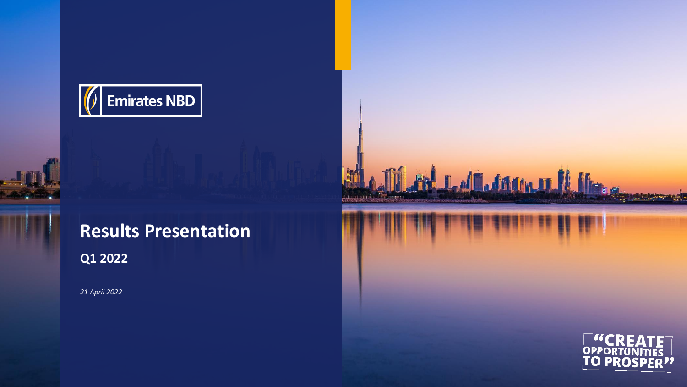*21 April 2022*







# **Q1 2022 Results Presentation**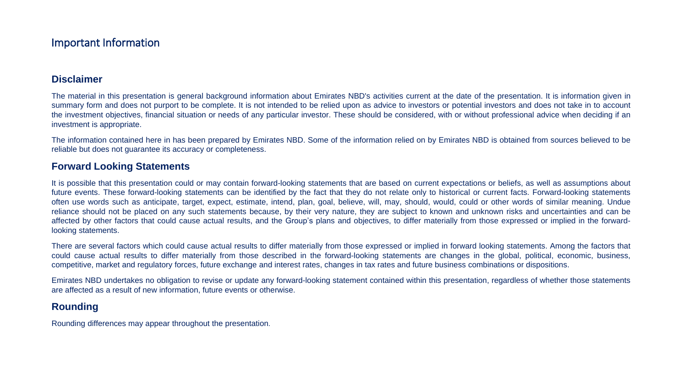#### **Disclaimer**

The material in this presentation is general background information about Emirates NBD's activities current at the date of the presentation. It is information given in summary form and does not purport to be complete. It is not intended to be relied upon as advice to investors or potential investors and does not take in to account the investment objectives, financial situation or needs of any particular investor. These should be considered, with or without professional advice when deciding if an investment is appropriate.

The information contained here in has been prepared by Emirates NBD. Some of the information relied on by Emirates NBD is obtained from sources believed to be reliable but does not guarantee its accuracy or completeness.

#### **Forward Looking Statements**

It is possible that this presentation could or may contain forward-looking statements that are based on current expectations or beliefs, as well as assumptions about future events. These forward-looking statements can be identified by the fact that they do not relate only to historical or current facts. Forward-looking statements often use words such as anticipate, target, expect, estimate, intend, plan, goal, believe, will, may, should, would, could or other words of similar meaning. Undue reliance should not be placed on any such statements because, by their very nature, they are subject to known and unknown risks and uncertainties and can be affected by other factors that could cause actual results, and the Group's plans and objectives, to differ materially from those expressed or implied in the forwardlooking statements.

There are several factors which could cause actual results to differ materially from those expressed or implied in forward looking statements. Among the factors that could cause actual results to differ materially from those described in the forward-looking statements are changes in the global, political, economic, business, competitive, market and regulatory forces, future exchange and interest rates, changes in tax rates and future business combinations or dispositions.

Emirates NBD undertakes no obligation to revise or update any forward-looking statement contained within this presentation, regardless of whether those statements are affected as a result of new information, future events or otherwise.

#### **Rounding**

Rounding differences may appear throughout the presentation.

### Important Information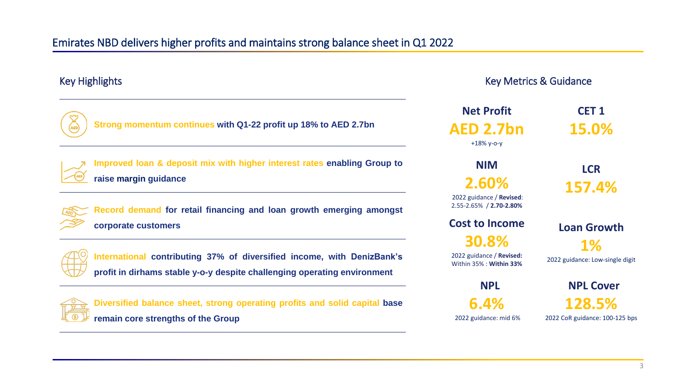**Net Profit AED 2.7bn** +18% y-o-y

**CET 1 15.0%**

**NIM 2.60%**

2022 guidance / **Revised**: 2.55-2.65% / **2.70-2.80%**

**LCR 157.4%**

### **Cost to Income**

**30.8%**

2022 guidance / **Revised:**  Within 35% : **Within 33%** 

**Loan Growth 1%** 2022 guidance: Low-single digit

**NPL**

**6.4%** 2022 guidance: mid 6%

**NPL Cover 128.5%**

2022 CoR guidance: 100-125 bps

## Emirates NBD delivers higher profits and maintains strong balance sheet in Q1 2022

#### Key Metrics & Guidance

**Strong momentum continues with Q1-22 profit up 18% to AED 2.7bn**



**Improved loan & deposit mix with higher interest rates enabling Group to raise margin guidance**



**Record demand for retail financing and loan growth emerging amongst corporate customers**



**International contributing 37% of diversified income, with DenizBank's profit in dirhams stable y-o-y despite challenging operating environment**



**Diversified balance sheet, strong operating profits and solid capital base remain core strengths of the Group**

### Key Highlights

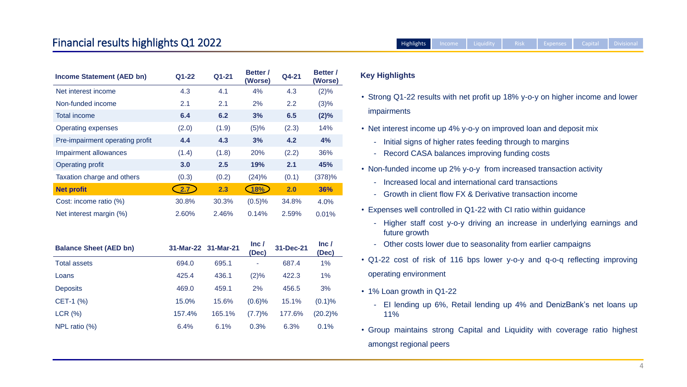- 
- rong Q1-22 results with net profit up 18% y-o-y on higher income and lower **pairments**
- interest income up 4% y-o-y on improved loan and deposit mix
	- Initial signs of higher rates feeding through to margins
	- Record CASA balances improving funding costs
- n-funded income up 2% y-o-y from increased transaction activity
	- Increased local and international card transactions
	- Growth in client flow FX & Derivative transaction income
- benses well controlled in Q1-22 with CI ratio within guidance
	- Higher staff cost y-o-y driving an increase in underlying earnings and future growth
	- Other costs lower due to seasonality from earlier campaigns
- Q1-22 cost of risk of 116 bps lower y-o-y and q-o-q reflecting improving operating environment
	-
- 1% Loan growth in Q1-22
	- EI lending up 6%, Retail lending up 4% and DenizBank's net loans up 11%
	-
- Group maintains strong Capital and Liquidity with coverage ratio highest amongst regional peers

#### **Key Highlights**

## Financial results highlights Q1 2022 **Analyzing the Capital Strutus Capital Property** Capital Poivisional

| <b>Income Statement (AED bn)</b> | Q1-22 | Q1-21 | <b>Better /</b><br>(Worse) | Q4-21 | <b>Better /</b><br>(Worse) | <b>Key F</b> |
|----------------------------------|-------|-------|----------------------------|-------|----------------------------|--------------|
| Net interest income              | 4.3   | 4.1   | 4%                         | 4.3   | $(2)\%$                    |              |
| Non-funded income                | 2.1   | 2.1   | 2%                         | 2.2   | $(3)\%$                    | • Stro       |
| <b>Total income</b>              | 6.4   | 6.2   | 3%                         | 6.5   | $(2)\%$                    | imp          |
| <b>Operating expenses</b>        | (2.0) | (1.9) | (5)%                       | (2.3) | 14%                        | • Net        |
| Pre-impairment operating profit  | 4.4   | 4.3   | 3%                         | 4.2   | 4%                         |              |
| <b>Impairment allowances</b>     | (1.4) | (1.8) | 20%                        | (2.2) | 36%                        |              |
| <b>Operating profit</b>          | 3.0   | 2.5   | 19%                        | 2.1   | 45%                        | • Nor        |
| Taxation charge and others       | (0.3) | (0.2) | (24)%                      | (0.1) | (378)%                     |              |
| <b>Net profit</b>                | 2.7   | 2.3   | 18%                        | 2.0   | 36%                        |              |
| Cost: income ratio (%)           | 30.8% | 30.3% | (0.5)%                     | 34.8% | 4.0%                       |              |
| Net interest margin (%)          | 2.60% | 2.46% | 0.14%                      | 2.59% | 0.01%                      | Exp          |
|                                  |       |       |                            |       |                            |              |
|                                  |       |       |                            |       |                            |              |

| <b>Balance Sheet (AED bn)</b> |        | 31-Mar-22 31-Mar-21 | Inc/<br>(Dec) | 31-Dec-21 | Inc/<br>(Dec) |
|-------------------------------|--------|---------------------|---------------|-----------|---------------|
| <b>Total assets</b>           | 694.0  | 695.1               |               | 687.4     | 1%            |
| Loans                         | 425.4  | 436.1               | (2)%          | 422.3     | 1%            |
| <b>Deposits</b>               | 469.0  | 459.1               | 2%            | 456.5     | 3%            |
| $CET-1$ (%)                   | 15.0%  | 15.6%               | $(0.6)$ %     | 15.1%     | $(0.1)\%$     |
| $LCR$ $(\% )$                 | 157.4% | 165.1%              | (7.7)%        | 177.6%    | $(20.2)\%$    |
| NPL ratio $(\%)$              | 6.4%   | 6.1%                | 0.3%          | 6.3%      | 0.1%          |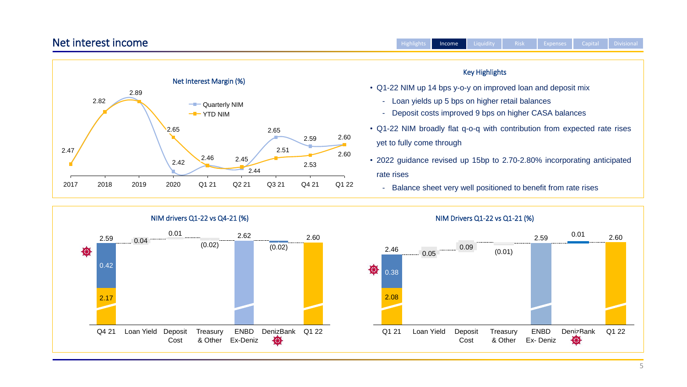

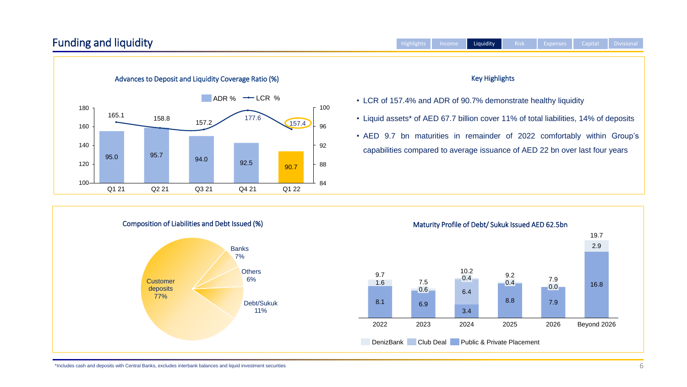### Funding and liquidity

\*Includes cash and deposits with Central Banks, excludes interbank balances and liquid investment securities



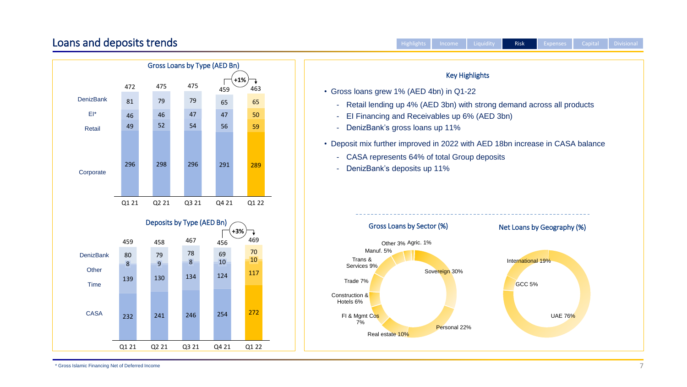



\* Gross Islamic Financing Net of Deferred Income 7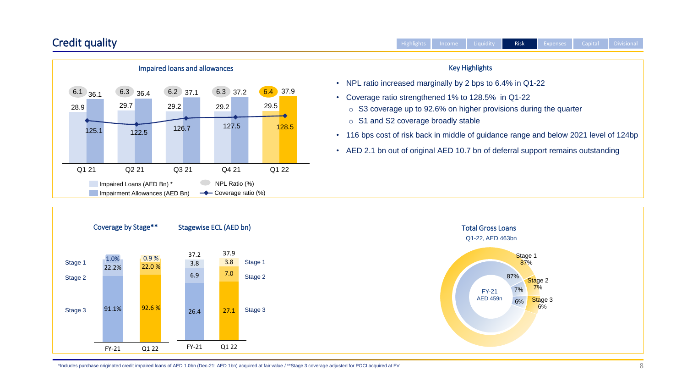### Credit quality





|                                                                                                                                                                           | <b>Highlights</b> | Income | Liquidity             | <b>Risk</b> | <b>Expenses</b> | Capital | <b>Divisional</b> |
|---------------------------------------------------------------------------------------------------------------------------------------------------------------------------|-------------------|--------|-----------------------|-------------|-----------------|---------|-------------------|
|                                                                                                                                                                           |                   |        | <b>Key Highlights</b> |             |                 |         |                   |
| NPL ratio increased marginally by 2 bps to 6.4% in Q1-22                                                                                                                  |                   |        |                       |             |                 |         |                   |
| Coverage ratio strengthened 1% to 128.5% in Q1-22<br>$\circ$ S3 coverage up to 92.6% on higher provisions during the quarter<br>$\circ$ S1 and S2 coverage broadly stable |                   |        |                       |             |                 |         |                   |
| 16 bps cost of risk back in middle of guidance range and below 2021 level of 124bp                                                                                        |                   |        |                       |             |                 |         |                   |
| AED 2.1 bn out of original AED 10.7 bn of deferral support remains outstanding                                                                                            |                   |        |                       |             |                 |         |                   |
|                                                                                                                                                                           |                   |        |                       |             |                 |         |                   |

\*Includes purchase originated credit impaired loans of AED 1.0bn (Dec-21: AED 1bn) acquired at fair value / \*\*Stage 3 coverage adjusted for POCI acquired at FV



• NPL ratio ind

- Coverage ration
	-
- $\cdot$  116 bps cost
- $\cdot$  AED 2.1 bn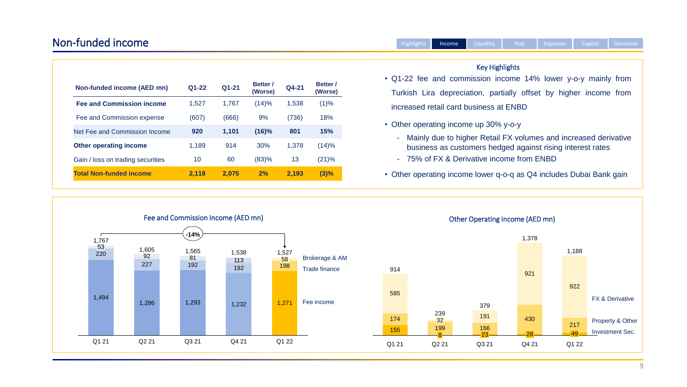### Non-funded income





- 75% of FX & Derivative income from ENBD

• Other operating income lower q-o-q as Q4 includes Dubai Bank gain

| <b>Non-funded income (AED mn)</b> | $Q1-22$ | Q1-21 | <b>Better</b><br>(Worse) | Q4-21 | <b>Better</b> /<br>(Worse) |
|-----------------------------------|---------|-------|--------------------------|-------|----------------------------|
| <b>Fee and Commission income</b>  | 1,527   | 1,767 | (14)%                    | 1,538 | (1)%                       |
| Fee and Commission expense        | (607)   | (666) | 9%                       | (736) | 18%                        |
| Net Fee and Commission Income     | 920     | 1,101 | $(16)\%$                 | 801   | 15%                        |
| <b>Other operating income</b>     | 1,189   | 914   | 30%                      | 1.378 | (14)%                      |
| Gain / loss on trading securities | 10      | 60    | (83)%                    | 13    | (21)%                      |
| <b>Total Non-funded income</b>    | 2,118   | 2,075 | 2%                       | 2.193 | (3)%                       |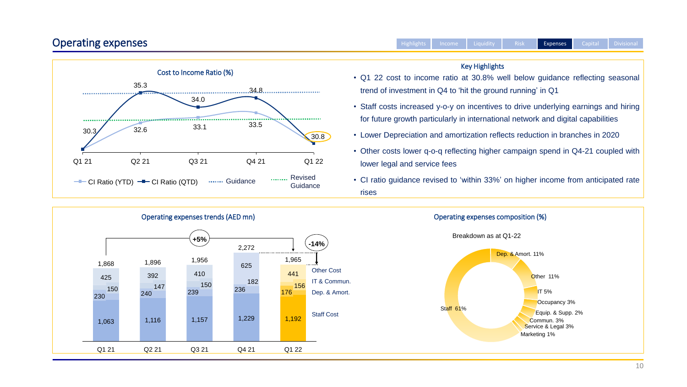### Operating expenses

• Q1 22 cost to income ratio at 30.8% well below guidance reflecting seasonal trend of investment in Q4 to 'hit the ground running' in Q1

• Staff costs increased y-o-y on incentives to drive underlying earnings and hiring for future growth particularly in international network and digital capabilities



• Lower Depreciation and amortization reflects reduction in branches in 2020



• Other costs lower q-o-q reflecting higher campaign spend in Q4-21 coupled with lower legal and service fees

• CI ratio guidance revised to 'within 33%' on higher income from anticipated rate

#### Key Highlights

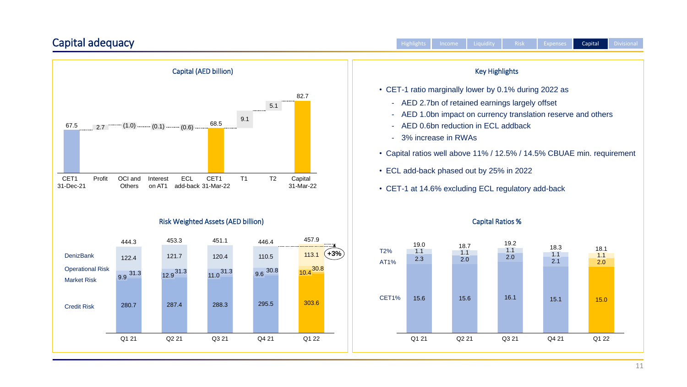### Capital adequacy



|   | <b>Highlights</b> | Income              | Liquidity                              | <b>Risk</b>                                         | <b>Expenses</b>                                                      | Capital | <b>Divisional</b> |
|---|-------------------|---------------------|----------------------------------------|-----------------------------------------------------|----------------------------------------------------------------------|---------|-------------------|
|   |                   |                     | <b>Key Highlights</b>                  |                                                     |                                                                      |         |                   |
|   |                   |                     |                                        | CET-1 ratio marginally lower by 0.1% during 2022 as |                                                                      |         |                   |
|   |                   | 3% increase in RWAs | AED 0.6bn reduction in ECL addback     | AED 2.7bn of retained earnings largely offset       | AED 1.0bn impact on currency translation reserve and others          |         |                   |
|   |                   |                     | ECL add-back phased out by 25% in 2022 |                                                     | Capital ratios well above 11% / 12.5% / 14.5% CBUAE min. requirement |         |                   |
|   |                   |                     |                                        | CET-1 at 14.6% excluding ECL regulatory add-back    |                                                                      |         |                   |
|   |                   |                     | <b>Capital Ratios %</b>                |                                                     |                                                                      |         |                   |
| ℅ | 19.0<br>1.1       | 18.7<br>1.1         |                                        | 19.2<br>1.1                                         | 18.3<br>11                                                           | 18.1    |                   |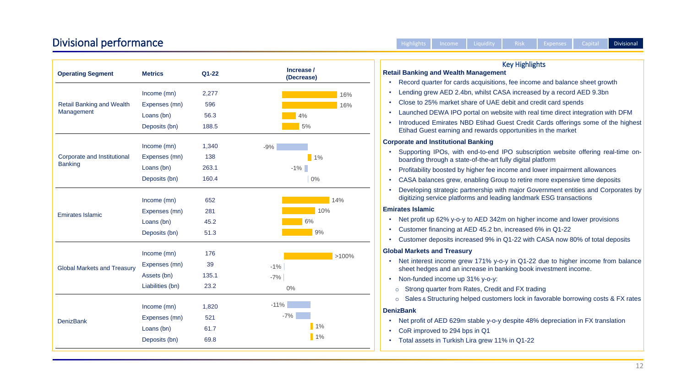#### **Retail Banking and Wealth Management**

- Record quarter for cards acquisitions, fee income and balance sheet growth
- Lending grew AED 2.4bn, whilst CASA increased by a record AED 9.3bn
- Close to 25% market share of UAE debit and credit card spends
- Launched DEWA IPO portal on website with real time direct integration with DFM
- Introduced Emirates NBD Etihad Guest Credit Cards offerings some of the highest Etihad Guest earning and rewards opportunities in the market

- Net profit up 62% y-o-y to AED 342m on higher income and lower provisions
- Customer financing at AED 45.2 bn, increased 6% in Q1-22
- Customer deposits increased 9% in Q1-22 with CASA now 80% of total deposits

- Net interest income grew 171% y-o-y in Q1-22 due to higher income from balance sheet hedges and an increase in banking book investment income.
- Non-funded income up 31% y-o-y:
- o Strong quarter from Rates, Credit and FX trading
- o Sales & Structuring helped customers lock in favorable borrowing costs & FX rates

#### **Corporate and Institutional Banking**

### Divisional performance and a state of the Highlights Income Liquidity Risk Expenses Capital Divisional

| <b>Operating Segment</b>           | <b>Metrics</b>   | Q1-22 | Increase /<br>(Decrease) |
|------------------------------------|------------------|-------|--------------------------|
|                                    | Income (mn)      | 2,277 | 16%                      |
| <b>Retail Banking and Wealth</b>   | Expenses (mn)    | 596   | 16%                      |
| <b>Management</b>                  | Loans (bn)       | 56.3  | 4%                       |
|                                    | Deposits (bn)    | 188.5 | 5%                       |
|                                    | Income (mn)      | 1,340 | $-9%$                    |
| <b>Corporate and Institutional</b> | Expenses (mn)    | 138   | $1\%$                    |
| <b>Banking</b>                     | Loans (bn)       | 263.1 | $-1\%$                   |
|                                    | Deposits (bn)    | 160.4 | $0\%$                    |
|                                    | Income (mn)      | 652   | 14%                      |
| <b>Emirates Islamic</b>            | Expenses (mn)    | 281   | 10%                      |
|                                    | Loans (bn)       | 45.2  | 6%                       |
|                                    | Deposits (bn)    | 51.3  | 9%                       |
|                                    | Income (mn)      | 176   | $>100\%$                 |
| <b>Global Markets and Treasury</b> | Expenses (mn)    | 39    | $-1\%$                   |
|                                    | Assets (bn)      | 135.1 | $-7%$                    |
|                                    | Liabilities (bn) | 23.2  | $0\%$                    |
|                                    | Income (mn)      | 1,820 | $-11%$                   |
|                                    | Expenses (mn)    | 521   | $-7%$                    |
| <b>DenizBank</b>                   | Loans (bn)       | 61.7  | $1\%$                    |
|                                    | Deposits (bn)    | 69.8  | $1\%$                    |

- Supporting IPOs, with end-to-end IPO subscription website offering real-time onboarding through a state-of-the-art fully digital platform
- Profitability boosted by higher fee income and lower impairment allowances
- CASA balances grew, enabling Group to retire more expensive time deposits
- Developing strategic partnership with major Government entities and Corporates by digitizing service platforms and leading landmark ESG transactions

#### **Emirates Islamic**

#### **Global Markets and Treasury**

#### **DenizBank**

- Net profit of AED 629m stable y-o-y despite 48% depreciation in FX translation
- CoR improved to 294 bps in Q1
- Total assets in Turkish Lira grew 11% in Q1-22

#### Key Highlights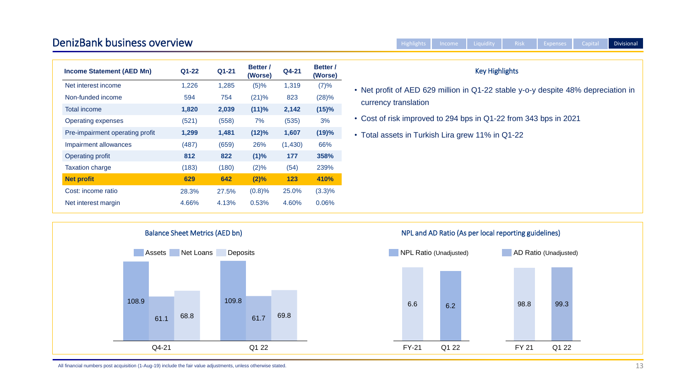#### DenizBank business overview

|                                                                                   | <b>Highlights</b>    | Income | Liquidity             | <b>Risk</b> | <b>Expenses</b> | Capital | <b>Divisional</b> |
|-----------------------------------------------------------------------------------|----------------------|--------|-----------------------|-------------|-----------------|---------|-------------------|
|                                                                                   |                      |        |                       |             |                 |         |                   |
|                                                                                   |                      |        | <b>Key Highlights</b> |             |                 |         |                   |
| • Net profit of AED 629 million in Q1-22 stable y-o-y despite 48% depreciation in | currency translation |        |                       |             |                 |         |                   |
| • Cost of risk improved to 294 bps in Q1-22 from 343 bps in 2021                  |                      |        |                       |             |                 |         |                   |
| • Total assets in Turkish Lira grew 11% in Q1-22                                  |                      |        |                       |             |                 |         |                   |
|                                                                                   |                      |        |                       |             |                 |         |                   |
|                                                                                   |                      |        |                       |             |                 |         |                   |
|                                                                                   |                      |        |                       |             |                 |         |                   |
|                                                                                   |                      |        |                       |             |                 |         |                   |

All financial numbers post acquisition (1-Aug-19) include the fair value adjustments, unless otherwise stated.



 $ency$ 

| <b>Income Statement (AED Mn)</b> | Q1-22 | Q1-21 | <b>Better</b> /<br>(Worse) | Q4-21   | <b>Better</b> /<br>(Worse) |
|----------------------------------|-------|-------|----------------------------|---------|----------------------------|
| Net interest income              | 1,226 | 1,285 | (5)%                       | 1,319   | (7)%                       |
| Non-funded income                | 594   | 754   | $(21)\%$                   | 823     | (28)%                      |
| <b>Total income</b>              | 1,820 | 2,039 | (11)%                      | 2,142   | (15)%                      |
| <b>Operating expenses</b>        | (521) | (558) | 7%                         | (535)   | 3%                         |
| Pre-impairment operating profit  | 1,299 | 1,481 | (12)%                      | 1,607   | (19)%                      |
| <b>Impairment allowances</b>     | (487) | (659) | 26%                        | (1,430) | 66%                        |
| <b>Operating profit</b>          | 812   | 822   | (1)%                       | 177     | 358%                       |
| <b>Taxation charge</b>           | (183) | (180) | $(2)\%$                    | (54)    | 239%                       |
| <b>Net profit</b>                | 629   | 642   | (2)%                       | 123     | 410%                       |
| Cost: income ratio               | 28.3% | 27.5% | (0.8)%                     | 25.0%   | $(3.3)\%$                  |
| Net interest margin              | 4.66% | 4.13% | 0.53%                      | 4.60%   | 0.06%                      |
|                                  |       |       |                            |         |                            |